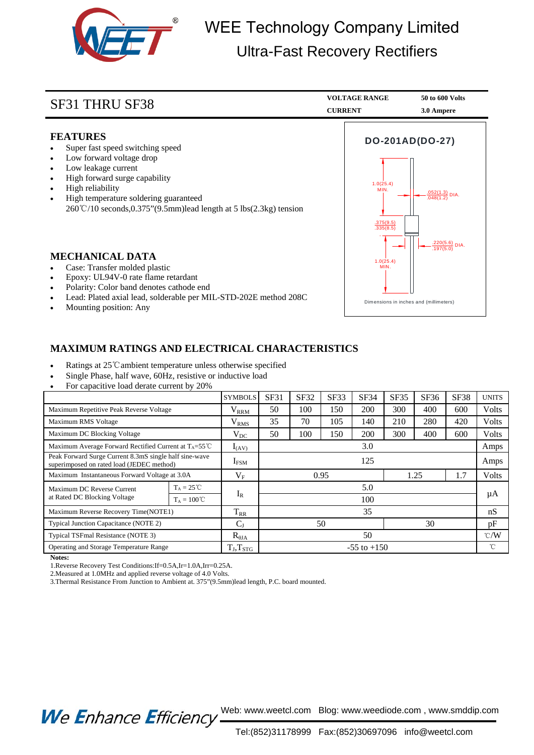

## WEE Technology Company Limited Ultra-Fast Recovery Rectifiers

| SF31 THRU SF38                                                                                                                                                                                                                                                                                                          | <b>VOLTAGE RANGE</b><br><b>CURRENT</b>                         | 50 to 600 Volts<br>3.0 Ampere                                            |  |
|-------------------------------------------------------------------------------------------------------------------------------------------------------------------------------------------------------------------------------------------------------------------------------------------------------------------------|----------------------------------------------------------------|--------------------------------------------------------------------------|--|
| <b>FEATURES</b><br>Super fast speed switching speed<br>Low forward voltage drop<br>Low leakage current<br>High forward surge capability<br>High reliability<br>$\bullet$<br>High temperature soldering guaranteed<br>$\bullet$<br>$260^{\circ}\text{C}/10$ seconds, 0.375" (9.5mm) lead length at 5 lbs (2.3kg) tension | DO-201AD(DO-27)<br>1.0(25.4)<br>MIN.<br>.375(9.5)<br>.335(8.5) | $\frac{.052(1.3)}{.048(1.2)}$ DIA.<br>$\frac{.220(5.6)}{.197(5.0)}$ DIA. |  |
| <b>MECHANICAL DATA</b><br>Case: Transfer molded plastic<br>Epoxy: UL94V-0 rate flame retardant<br>Polarity: Color band denotes cathode end<br>$\bullet$<br>Lead: Plated axial lead, solderable per MIL-STD-202E method 208C<br>Mounting position: Any                                                                   | 1.0(25.4)<br>MIN.<br>Dimensions in inches and (millimeters)    |                                                                          |  |

## **MAXIMUM RATINGS AND ELECTRICAL CHARACTERISTICS**

- Ratings at 25℃ambient temperature unless otherwise specified
- Single Phase, half wave, 60Hz, resistive or inductive load
- For capacitive load derate current by 20%

|                                                                                                     |                      | <b>SYMBOLS</b>   | SF31                | <b>SF32</b> | SF33 | SF34 | SF35 | SF36 | <b>SF38</b>   | <b>UNITS</b> |
|-----------------------------------------------------------------------------------------------------|----------------------|------------------|---------------------|-------------|------|------|------|------|---------------|--------------|
| Maximum Repetitive Peak Reverse Voltage                                                             |                      | $\rm V_{RRM}$    | 50                  | 100         | 150  | 200  | 300  | 400  | 600           | Volts        |
| Maximum RMS Voltage                                                                                 |                      | $V_{RMS}$        | 35                  | 70          | 105  | 140  | 210  | 280  | 420           | Volts        |
| Maximum DC Blocking Voltage                                                                         |                      | $\rm V_{DC}$     | 50                  | 100         | 150  | 200  | 300  | 400  | 600           | Volts        |
| Maximum Average Forward Rectified Current at $T_A = 55^{\circ}$ C                                   |                      | $I_{(AV)}$       | 3.0                 |             |      |      |      |      |               | Amps         |
| Peak Forward Surge Current 8.3mS single half sine-wave<br>superimposed on rated load (JEDEC method) |                      | I <sub>FSM</sub> | 125                 |             |      |      |      |      |               | Amps         |
| Maximum Instantaneous Forward Voltage at 3.0A                                                       |                      | $V_{F}$          | 1.7<br>0.95<br>1.25 |             |      |      |      |      | Volts         |              |
| Maximum DC Reverse Current<br>at Rated DC Blocking Voltage                                          | $T_A = 25 \degree C$ |                  | 5.0                 |             |      |      |      |      |               |              |
|                                                                                                     | $T_A = 100^{\circ}C$ | $I_R$            | 100                 |             |      |      |      |      |               | μA           |
| Maximum Reverse Recovery Time(NOTE1)                                                                |                      | $T_{RR}$         | 35                  |             |      |      |      |      |               | nS           |
| Typical Junction Capacitance (NOTE 2)                                                               |                      | $C_{J}$          | 50<br>30            |             |      |      |      | pF   |               |              |
| Typical TSFmal Resistance (NOTE 3)                                                                  |                      | $R_{\theta JA}$  | 50                  |             |      |      |      |      | $\degree$ C/W |              |
| Operating and Storage Temperature Range                                                             |                      | $T_J, T_{STG}$   | $-55$ to $+150$     |             |      |      |      |      | °C            |              |

**Notes:**

1.Reverse Recovery Test Conditions:If=0.5A,Ir=1.0A,Irr=0.25A.

2.Measured at 1.0MHz and applied reverse voltage of 4.0 Volts.

3.Thermal Resistance From Junction to Ambient at. 375"(9.5mm)lead length, P.C. board mounted.

We Enhance Efficiency Web: www.weetcl.com Blog: www.weediode.com, www.smddip.com